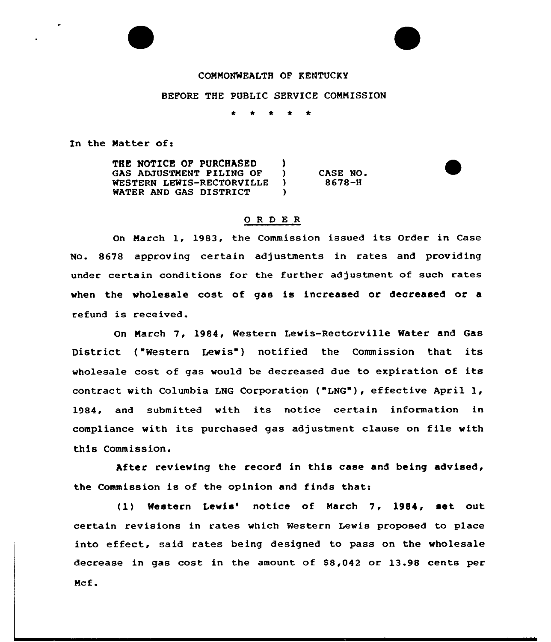## COMMONWEALTH OF RENTUCKY

## BEFORE THE PGBLIC SERUICE COMMISSION

\* \* \*

In the Matter of:

THE NOTICE OF PURCHASED (1)<br>GAS ADJUSTMENT FILING OF (1) GAS ADJUSTMENT FILING OF )<br>WESTERN LEWIS-RECTORVILLE ) WESTERN LEWIS-RECTORVILLE )<br>WATER AND GAS DISTRICT ) WATER AND GAS DISTRICT CASE NO. 8678-H

## ORDER

On March 1, 1983, the Commission issued its Order in Case No. 8678 approving certain adjustments in rates and providing under certain conditions for the further adjustment of such rates when the wholesale cost of gas is increased or decreased or a refund is received.

On March 7, 1984, Western Lewis-Rectorville Water and Gas District ("Western Lewis") notified the Commission that its wholesale cost of gas would be decreased due to expiration of its contract with Columbia LNG Corporation ("LNG"), effective April 1, 1984, and submitted with its notice certain information in compliance with its purchased gas adjustment clause on file with this Commission.

After reviewing the record in this case and being advised, the Commission is of the opinion and finds that:

(1) Western Lewis' notice of March 7, 1984, set out certain revisions in rates which Western Lewis proposed to place into effeet, said rates being designed to pass on the wholesale decrease in gas cost in the amount of  $$8,042$  or 13.98 cents per Mcf.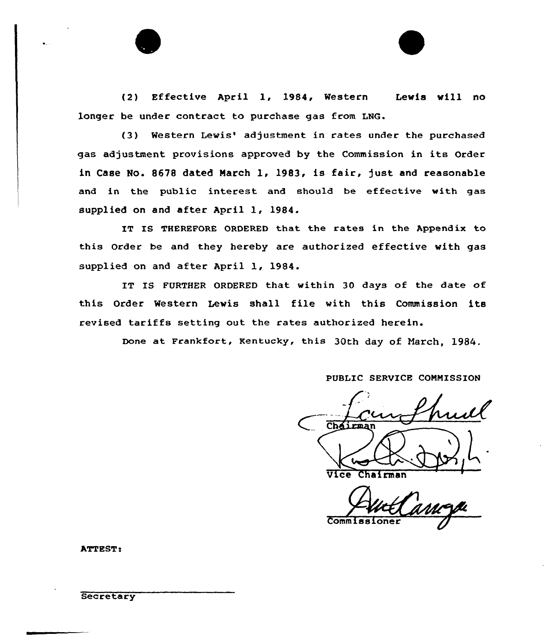(2) Effective April 1, 1984, Western Lewis will no longer be under contract to purchase gas from LNG.

(3) Western Lewis' adjustment in rates under the purchased gas adjustment provisions approved by the Commission in its Order in Case No. 8678 dated March 1, 19&3, is fair, just and reasonable and in the public interest and should be effective with gas supplied on and after April 1, 1984.

IT IS THEREFORE ORDERED that the rates in the Appendix to this Order be and they hereby are authorized effective with gas supplied on and after April 1, 1984.

IT IS FURTHER ORDERED that within 30 days of the date of this Order Western Lewis shall file with this Commission its revised tariffs setting out the rates authorized herein.

Done at Frankfort, Kentucky, this 30th day Of MarCh, 1984.

PUBLIC SERVICE COMMISSION

 $\overline{\text{C}}\overline{\text{D}}\overline{\text{A}}$ 

Vice Chairman

Commiss

ATTEST!

**Secretary**